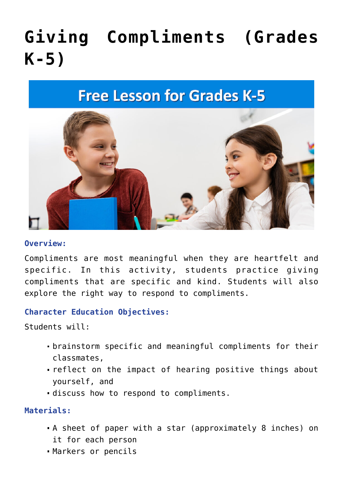# **[Giving Compliments \(Grades](https://raycenter.wp.drake.edu/2022/05/24/giving-compliments/) [K-5\)](https://raycenter.wp.drake.edu/2022/05/24/giving-compliments/)**

## **Free Lesson for Grades K-5**



#### **Overview:**

Compliments are most meaningful when they are heartfelt and specific. In this activity, students practice giving compliments that are specific and kind. Students will also explore the right way to respond to compliments.

#### **Character Education Objectives:**

Students will:

- brainstorm specific and meaningful compliments for their classmates,
- reflect on the impact of hearing positive things about yourself, and
- discuss how to respond to compliments.

**Materials:**

- A sheet of paper with a star (approximately 8 inches) on it for each person
- Markers or pencils